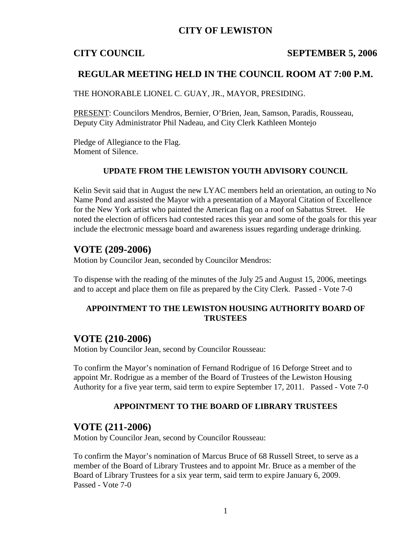# **CITY OF LEWISTON**

#### **CITY COUNCIL SEPTEMBER 5, 2006**

## **REGULAR MEETING HELD IN THE COUNCIL ROOM AT 7:00 P.M.**

THE HONORABLE LIONEL C. GUAY, JR., MAYOR, PRESIDING.

PRESENT: Councilors Mendros, Bernier, O'Brien, Jean, Samson, Paradis, Rousseau, Deputy City Administrator Phil Nadeau, and City Clerk Kathleen Montejo

Pledge of Allegiance to the Flag. Moment of Silence.

#### **UPDATE FROM THE LEWISTON YOUTH ADVISORY COUNCIL**

Kelin Sevit said that in August the new LYAC members held an orientation, an outing to No Name Pond and assisted the Mayor with a presentation of a Mayoral Citation of Excellence for the New York artist who painted the American flag on a roof on Sabattus Street. He noted the election of officers had contested races this year and some of the goals for this year include the electronic message board and awareness issues regarding underage drinking.

#### **VOTE (209-2006)**

Motion by Councilor Jean, seconded by Councilor Mendros:

To dispense with the reading of the minutes of the July 25 and August 15, 2006, meetings and to accept and place them on file as prepared by the City Clerk. Passed - Vote 7-0

### **APPOINTMENT TO THE LEWISTON HOUSING AUTHORITY BOARD OF TRUSTEES**

#### **VOTE (210-2006)**

Motion by Councilor Jean, second by Councilor Rousseau:

To confirm the Mayor's nomination of Fernand Rodrigue of 16 Deforge Street and to appoint Mr. Rodrigue as a member of the Board of Trustees of the Lewiston Housing Authority for a five year term, said term to expire September 17, 2011. Passed - Vote 7-0

#### **APPOINTMENT TO THE BOARD OF LIBRARY TRUSTEES**

#### **VOTE (211-2006)**

Motion by Councilor Jean, second by Councilor Rousseau:

To confirm the Mayor's nomination of Marcus Bruce of 68 Russell Street, to serve as a member of the Board of Library Trustees and to appoint Mr. Bruce as a member of the Board of Library Trustees for a six year term, said term to expire January 6, 2009. Passed - Vote 7-0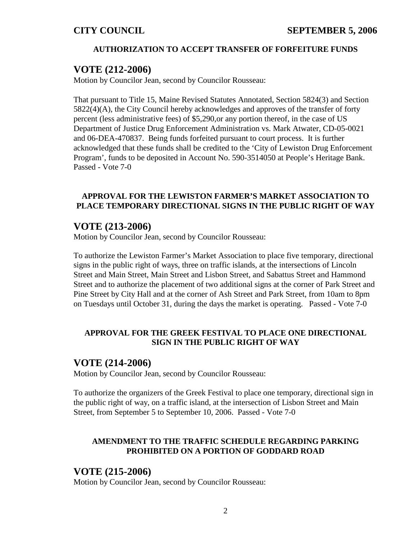# **AUTHORIZATION TO ACCEPT TRANSFER OF FORFEITURE FUNDS**

# **VOTE (212-2006)**

Motion by Councilor Jean, second by Councilor Rousseau:

That pursuant to Title 15, Maine Revised Statutes Annotated, Section 5824(3) and Section 5822(4)(A), the City Council hereby acknowledges and approves of the transfer of forty percent (less administrative fees) of \$5,290,or any portion thereof, in the case of US Department of Justice Drug Enforcement Administration vs. Mark Atwater, CD-05-0021 and 06-DEA-470837. Being funds forfeited pursuant to court process. It is further acknowledged that these funds shall be credited to the 'City of Lewiston Drug Enforcement Program', funds to be deposited in Account No. 590-3514050 at People's Heritage Bank. Passed - Vote 7-0

### **APPROVAL FOR THE LEWISTON FARMER'S MARKET ASSOCIATION TO PLACE TEMPORARY DIRECTIONAL SIGNS IN THE PUBLIC RIGHT OF WAY**

# **VOTE (213-2006)**

Motion by Councilor Jean, second by Councilor Rousseau:

To authorize the Lewiston Farmer's Market Association to place five temporary, directional signs in the public right of ways, three on traffic islands, at the intersections of Lincoln Street and Main Street, Main Street and Lisbon Street, and Sabattus Street and Hammond Street and to authorize the placement of two additional signs at the corner of Park Street and Pine Street by City Hall and at the corner of Ash Street and Park Street, from 10am to 8pm on Tuesdays until October 31, during the days the market is operating. Passed - Vote 7-0

## **APPROVAL FOR THE GREEK FESTIVAL TO PLACE ONE DIRECTIONAL SIGN IN THE PUBLIC RIGHT OF WAY**

# **VOTE (214-2006)**

Motion by Councilor Jean, second by Councilor Rousseau:

To authorize the organizers of the Greek Festival to place one temporary, directional sign in the public right of way, on a traffic island, at the intersection of Lisbon Street and Main Street, from September 5 to September 10, 2006. Passed - Vote 7-0

# **AMENDMENT TO THE TRAFFIC SCHEDULE REGARDING PARKING PROHIBITED ON A PORTION OF GODDARD ROAD**

# **VOTE (215-2006)**

Motion by Councilor Jean, second by Councilor Rousseau: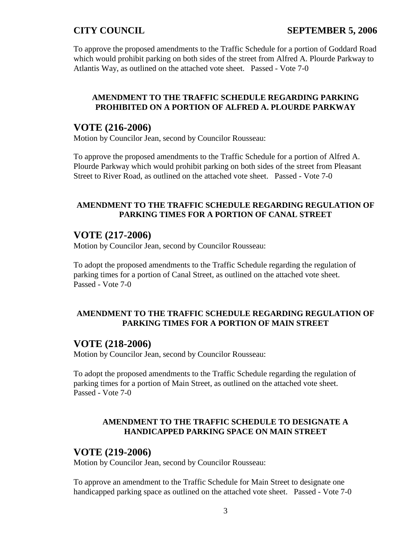# **CITY COUNCIL SEPTEMBER 5, 2006**

To approve the proposed amendments to the Traffic Schedule for a portion of Goddard Road which would prohibit parking on both sides of the street from Alfred A. Plourde Parkway to Atlantis Way, as outlined on the attached vote sheet. Passed - Vote 7-0

### **AMENDMENT TO THE TRAFFIC SCHEDULE REGARDING PARKING PROHIBITED ON A PORTION OF ALFRED A. PLOURDE PARKWAY**

### **VOTE (216-2006)**

Motion by Councilor Jean, second by Councilor Rousseau:

To approve the proposed amendments to the Traffic Schedule for a portion of Alfred A. Plourde Parkway which would prohibit parking on both sides of the street from Pleasant Street to River Road, as outlined on the attached vote sheet. Passed - Vote 7-0

#### **AMENDMENT TO THE TRAFFIC SCHEDULE REGARDING REGULATION OF PARKING TIMES FOR A PORTION OF CANAL STREET**

# **VOTE (217-2006)**

Motion by Councilor Jean, second by Councilor Rousseau:

To adopt the proposed amendments to the Traffic Schedule regarding the regulation of parking times for a portion of Canal Street, as outlined on the attached vote sheet. Passed - Vote 7-0

## **AMENDMENT TO THE TRAFFIC SCHEDULE REGARDING REGULATION OF PARKING TIMES FOR A PORTION OF MAIN STREET**

## **VOTE (218-2006)**

Motion by Councilor Jean, second by Councilor Rousseau:

To adopt the proposed amendments to the Traffic Schedule regarding the regulation of parking times for a portion of Main Street, as outlined on the attached vote sheet. Passed - Vote 7-0

#### **AMENDMENT TO THE TRAFFIC SCHEDULE TO DESIGNATE A HANDICAPPED PARKING SPACE ON MAIN STREET**

#### **VOTE (219-2006)**

Motion by Councilor Jean, second by Councilor Rousseau:

To approve an amendment to the Traffic Schedule for Main Street to designate one handicapped parking space as outlined on the attached vote sheet. Passed - Vote 7-0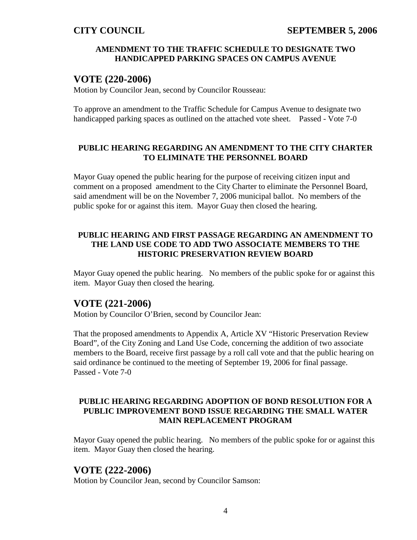## **AMENDMENT TO THE TRAFFIC SCHEDULE TO DESIGNATE TWO HANDICAPPED PARKING SPACES ON CAMPUS AVENUE**

# **VOTE (220-2006)**

Motion by Councilor Jean, second by Councilor Rousseau:

To approve an amendment to the Traffic Schedule for Campus Avenue to designate two handicapped parking spaces as outlined on the attached vote sheet. Passed - Vote 7-0

# **PUBLIC HEARING REGARDING AN AMENDMENT TO THE CITY CHARTER TO ELIMINATE THE PERSONNEL BOARD**

Mayor Guay opened the public hearing for the purpose of receiving citizen input and comment on a proposed amendment to the City Charter to eliminate the Personnel Board, said amendment will be on the November 7, 2006 municipal ballot. No members of the public spoke for or against this item. Mayor Guay then closed the hearing.

## **PUBLIC HEARING AND FIRST PASSAGE REGARDING AN AMENDMENT TO THE LAND USE CODE TO ADD TWO ASSOCIATE MEMBERS TO THE HISTORIC PRESERVATION REVIEW BOARD**

Mayor Guay opened the public hearing. No members of the public spoke for or against this item. Mayor Guay then closed the hearing.

# **VOTE (221-2006)**

Motion by Councilor O'Brien, second by Councilor Jean:

That the proposed amendments to Appendix A, Article XV "Historic Preservation Review Board", of the City Zoning and Land Use Code, concerning the addition of two associate members to the Board, receive first passage by a roll call vote and that the public hearing on said ordinance be continued to the meeting of September 19, 2006 for final passage. Passed - Vote 7-0

## **PUBLIC HEARING REGARDING ADOPTION OF BOND RESOLUTION FOR A PUBLIC IMPROVEMENT BOND ISSUE REGARDING THE SMALL WATER MAIN REPLACEMENT PROGRAM**

Mayor Guay opened the public hearing. No members of the public spoke for or against this item. Mayor Guay then closed the hearing.

# **VOTE (222-2006)**

Motion by Councilor Jean, second by Councilor Samson: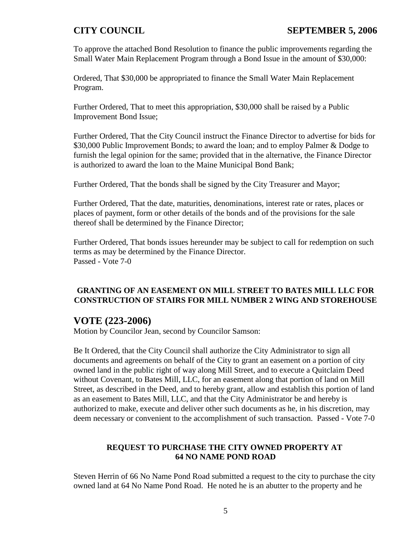To approve the attached Bond Resolution to finance the public improvements regarding the Small Water Main Replacement Program through a Bond Issue in the amount of \$30,000:

Ordered, That \$30,000 be appropriated to finance the Small Water Main Replacement Program.

Further Ordered, That to meet this appropriation, \$30,000 shall be raised by a Public Improvement Bond Issue;

Further Ordered, That the City Council instruct the Finance Director to advertise for bids for \$30,000 Public Improvement Bonds; to award the loan; and to employ Palmer & Dodge to furnish the legal opinion for the same; provided that in the alternative, the Finance Director is authorized to award the loan to the Maine Municipal Bond Bank;

Further Ordered, That the bonds shall be signed by the City Treasurer and Mayor;

Further Ordered, That the date, maturities, denominations, interest rate or rates, places or places of payment, form or other details of the bonds and of the provisions for the sale thereof shall be determined by the Finance Director;

Further Ordered, That bonds issues hereunder may be subject to call for redemption on such terms as may be determined by the Finance Director. Passed - Vote 7-0

# **GRANTING OF AN EASEMENT ON MILL STREET TO BATES MILL LLC FOR CONSTRUCTION OF STAIRS FOR MILL NUMBER 2 WING AND STOREHOUSE**

# **VOTE (223-2006)**

Motion by Councilor Jean, second by Councilor Samson:

Be It Ordered, that the City Council shall authorize the City Administrator to sign all documents and agreements on behalf of the City to grant an easement on a portion of city owned land in the public right of way along Mill Street, and to execute a Quitclaim Deed without Covenant, to Bates Mill, LLC, for an easement along that portion of land on Mill Street, as described in the Deed, and to hereby grant, allow and establish this portion of land as an easement to Bates Mill, LLC, and that the City Administrator be and hereby is authorized to make, execute and deliver other such documents as he, in his discretion, may deem necessary or convenient to the accomplishment of such transaction. Passed - Vote 7-0

# **REQUEST TO PURCHASE THE CITY OWNED PROPERTY AT 64 NO NAME POND ROAD**

Steven Herrin of 66 No Name Pond Road submitted a request to the city to purchase the city owned land at 64 No Name Pond Road. He noted he is an abutter to the property and he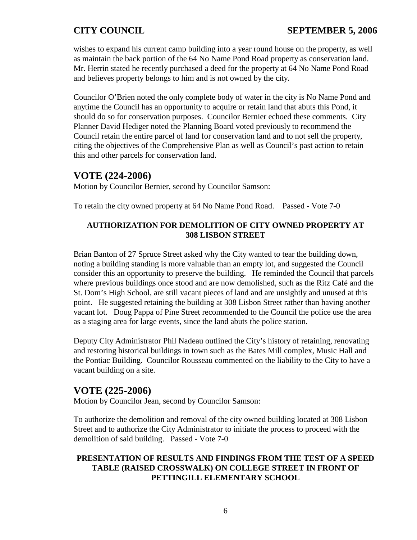wishes to expand his current camp building into a year round house on the property, as well as maintain the back portion of the 64 No Name Pond Road property as conservation land. Mr. Herrin stated he recently purchased a deed for the property at 64 No Name Pond Road and believes property belongs to him and is not owned by the city.

Councilor O'Brien noted the only complete body of water in the city is No Name Pond and anytime the Council has an opportunity to acquire or retain land that abuts this Pond, it should do so for conservation purposes. Councilor Bernier echoed these comments. City Planner David Hediger noted the Planning Board voted previously to recommend the Council retain the entire parcel of land for conservation land and to not sell the property, citing the objectives of the Comprehensive Plan as well as Council's past action to retain this and other parcels for conservation land.

# **VOTE (224-2006)**

Motion by Councilor Bernier, second by Councilor Samson:

To retain the city owned property at 64 No Name Pond Road. Passed - Vote 7-0

# **AUTHORIZATION FOR DEMOLITION OF CITY OWNED PROPERTY AT 308 LISBON STREET**

Brian Banton of 27 Spruce Street asked why the City wanted to tear the building down, noting a building standing is more valuable than an empty lot, and suggested the Council consider this an opportunity to preserve the building. He reminded the Council that parcels where previous buildings once stood and are now demolished, such as the Ritz Café and the St. Dom's High School, are still vacant pieces of land and are unsightly and unused at this point. He suggested retaining the building at 308 Lisbon Street rather than having another vacant lot. Doug Pappa of Pine Street recommended to the Council the police use the area as a staging area for large events, since the land abuts the police station.

Deputy City Administrator Phil Nadeau outlined the City's history of retaining, renovating and restoring historical buildings in town such as the Bates Mill complex, Music Hall and the Pontiac Building. Councilor Rousseau commented on the liability to the City to have a vacant building on a site.

# **VOTE (225-2006)**

Motion by Councilor Jean, second by Councilor Samson:

To authorize the demolition and removal of the city owned building located at 308 Lisbon Street and to authorize the City Administrator to initiate the process to proceed with the demolition of said building. Passed - Vote 7-0

## **PRESENTATION OF RESULTS AND FINDINGS FROM THE TEST OF A SPEED TABLE (RAISED CROSSWALK) ON COLLEGE STREET IN FRONT OF PETTINGILL ELEMENTARY SCHOOL**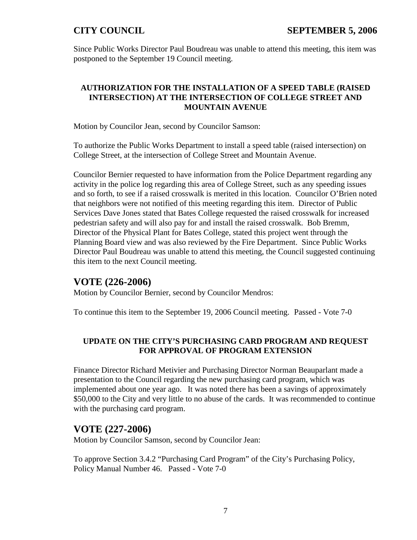Since Public Works Director Paul Boudreau was unable to attend this meeting, this item was postponed to the September 19 Council meeting.

## **AUTHORIZATION FOR THE INSTALLATION OF A SPEED TABLE (RAISED INTERSECTION) AT THE INTERSECTION OF COLLEGE STREET AND MOUNTAIN AVENUE**

Motion by Councilor Jean, second by Councilor Samson:

To authorize the Public Works Department to install a speed table (raised intersection) on College Street, at the intersection of College Street and Mountain Avenue.

Councilor Bernier requested to have information from the Police Department regarding any activity in the police log regarding this area of College Street, such as any speeding issues and so forth, to see if a raised crosswalk is merited in this location. Councilor O'Brien noted that neighbors were not notified of this meeting regarding this item. Director of Public Services Dave Jones stated that Bates College requested the raised crosswalk for increased pedestrian safety and will also pay for and install the raised crosswalk. Bob Bremm, Director of the Physical Plant for Bates College, stated this project went through the Planning Board view and was also reviewed by the Fire Department. Since Public Works Director Paul Boudreau was unable to attend this meeting, the Council suggested continuing this item to the next Council meeting.

# **VOTE (226-2006)**

Motion by Councilor Bernier, second by Councilor Mendros:

To continue this item to the September 19, 2006 Council meeting. Passed - Vote 7-0

# **UPDATE ON THE CITY'S PURCHASING CARD PROGRAM AND REQUEST FOR APPROVAL OF PROGRAM EXTENSION**

Finance Director Richard Metivier and Purchasing Director Norman Beauparlant made a presentation to the Council regarding the new purchasing card program, which was implemented about one year ago. It was noted there has been a savings of approximately \$50,000 to the City and very little to no abuse of the cards. It was recommended to continue with the purchasing card program.

# **VOTE (227-2006)**

Motion by Councilor Samson, second by Councilor Jean:

To approve Section 3.4.2 "Purchasing Card Program" of the City's Purchasing Policy, Policy Manual Number 46. Passed - Vote 7-0